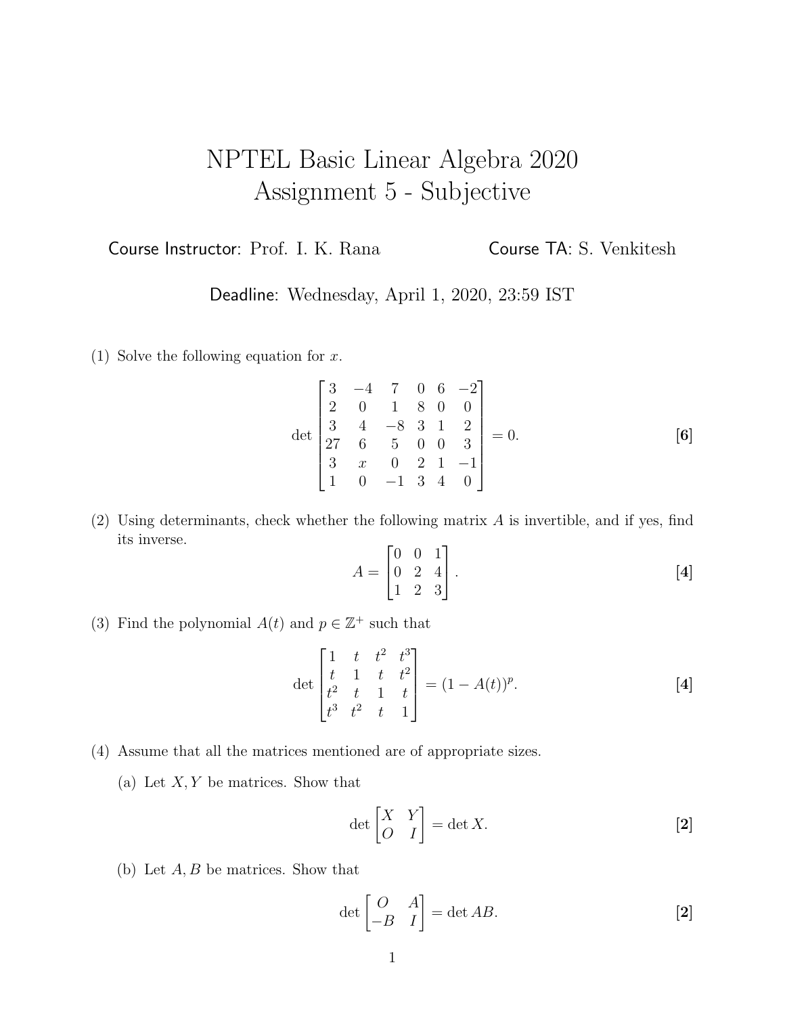## NPTEL Basic Linear Algebra 2020 Assignment 5 - Subjective

Course Instructor: Prof. I. K. Rana Course TA: S. Venkitesh

Deadline: Wednesday, April 1, 2020, 23:59 IST

(1) Solve the following equation for  $x$ .

$$
\det \begin{bmatrix} 3 & -4 & 7 & 0 & 6 & -2 \\ 2 & 0 & 1 & 8 & 0 & 0 \\ 3 & 4 & -8 & 3 & 1 & 2 \\ 27 & 6 & 5 & 0 & 0 & 3 \\ 3 & x & 0 & 2 & 1 & -1 \\ 1 & 0 & -1 & 3 & 4 & 0 \end{bmatrix} = 0.
$$
 [6]

(2) Using determinants, check whether the following matrix  $A$  is invertible, and if yes, find its inverse.

$$
A = \begin{bmatrix} 0 & 0 & 1 \\ 0 & 2 & 4 \\ 1 & 2 & 3 \end{bmatrix} .
$$
 [4]

(3) Find the polynomial  $A(t)$  and  $p \in \mathbb{Z}^+$  such that

$$
\det\begin{bmatrix} 1 & t & t^2 & t^3 \\ t & 1 & t & t^2 \\ t^2 & t & 1 & t \\ t^3 & t^2 & t & 1 \end{bmatrix} = (1 - A(t))^p.
$$
 [4]

- (4) Assume that all the matrices mentioned are of appropriate sizes.
	- (a) Let  $X, Y$  be matrices. Show that

$$
\det\begin{bmatrix} X & Y \\ O & I \end{bmatrix} = \det X.
$$
 [2]

(b) Let  $A, B$  be matrices. Show that

$$
\det\begin{bmatrix} O & A \\ -B & I \end{bmatrix} = \det AB.
$$
 [2]